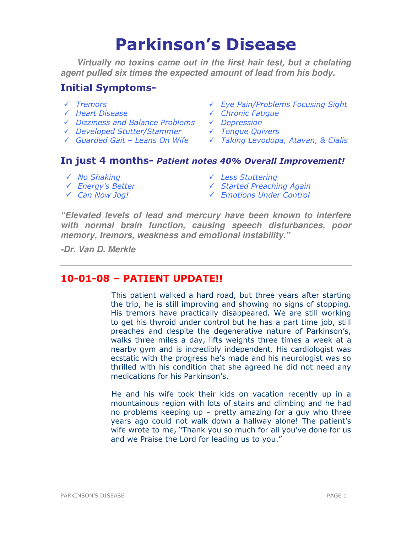# Parkinson's Disease

**Virtually no toxins came out in the first hair test, but a chelating agent pulled six times the expected amount of lead from his body.** 

# Initial Symptoms-

- 
- 
- 
- $\checkmark$  Developed Stutter/Stammer
- 
- Tremors Eye Pain/Problems Focusing Sight
- Heart Disease Chronic Fatigue
	-
	-
- Guarded Gait Leans On Wife Taking Levodopa, Atavan, & Cialis

# In just 4 months- Patient notes 40% Overall Improvement!

- No Shaking Less Stuttering
- ← Energy's Better 
Started Preaching Again
- -
- 
- Can Now Jog! Emotions Under Control

**"Elevated levels of lead and mercury have been known to interfere with normal brain function, causing speech disturbances, poor memory, tremors, weakness and emotional instability."** 

**-Dr. Van D. Merkle** 

# 10-01-08 – PATIENT UPDATE!!

 This patient walked a hard road, but three years after starting the trip, he is still improving and showing no signs of stopping. His tremors have practically disappeared. We are still working to get his thyroid under control but he has a part time job, still preaches and despite the degenerative nature of Parkinson's, walks three miles a day, lifts weights three times a week at a nearby gym and is incredibly independent. His cardiologist was ecstatic with the progress he's made and his neurologist was so thrilled with his condition that she agreed he did not need any medications for his Parkinson's.

 He and his wife took their kids on vacation recently up in a mountainous region with lots of stairs and climbing and he had no problems keeping up – pretty amazing for a guy who three years ago could not walk down a hallway alone! The patient's wife wrote to me, "Thank you so much for all you've done for us and we Praise the Lord for leading us to you."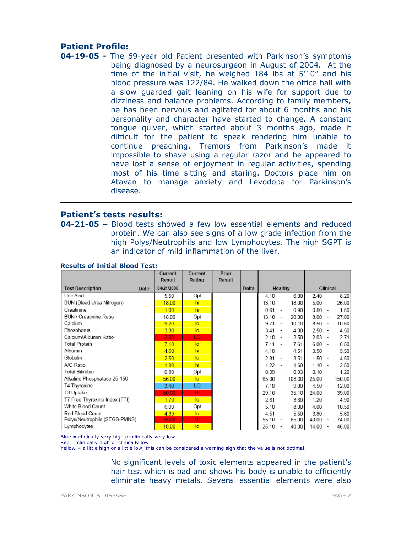## Patient Profile:

04-19-05 - The 69-year old Patient presented with Parkinson's symptoms being diagnosed by a neurosurgeon in August of 2004. At the time of the initial visit, he weighed 184 lbs at 5'10" and his blood pressure was 122/84. He walked down the office hall with a slow guarded gait leaning on his wife for support due to dizziness and balance problems. According to family members, he has been nervous and agitated for about 6 months and his personality and character have started to change. A constant tongue quiver, which started about 3 months ago, made it difficult for the patient to speak rendering him unable to continue preaching. Tremors from Parkinson's made it impossible to shave using a regular razor and he appeared to have lost a sense of enjoyment in regular activities, spending most of his time sitting and staring. Doctors place him on Atavan to manage anxiety and Levodopa for Parkinson's disease.

### Patient's tests results:

**04-21-05 –** Blood tests showed a few low essential elements and reduced protein. We can also see signs of a low grade infection from the high Polys/Neutrophils and low Lymphocytes. The high SGPT is an indicator of mild inflammation of the liver.

|                                  | Current<br>Result | Current<br>Rating | Prior<br>Result |       |       |                          |        |          |                          |        |
|----------------------------------|-------------------|-------------------|-----------------|-------|-------|--------------------------|--------|----------|--------------------------|--------|
| <b>Test Description</b><br>Date: | 04/21/2005        |                   |                 | Delta |       | Healthy                  |        |          | Clinical                 |        |
| Uric Acid                        | 5.50              | Opt               |                 |       | 4.10  | $\sim$                   | 6.00   | 2.40     | $\overline{\phantom{a}}$ | 8.20   |
| BUN (Blood Urea Nitrogen)        | 18.00             | hi                |                 |       | 13.10 | $\overline{\phantom{a}}$ | 18.00  | 5.00     | $\overline{\phantom{a}}$ | 26.00  |
| Creatinine                       | 1.00              | hi                |                 |       | 0.61  | $\overline{\phantom{a}}$ | 0.90   | 0.50     | $\overline{\phantom{a}}$ | 1.50   |
| BUN / Creatinine Ratio           | 18.00             | Opt               |                 |       | 13.10 | $\overline{\phantom{a}}$ | 20.00  | 8.00     | $\overline{\phantom{a}}$ | 27.00  |
| Calcium                          | 9.20              | lo.               |                 |       | 9.71  | $\overline{\phantom{a}}$ | 10.10  | 8.50     | $\sim$                   | 10.60  |
| Phosphorus                       | 3.30              | lo                |                 |       | 3.41  |                          | 4.00   | 2.50     | $\overline{\phantom{a}}$ | 4.50   |
| Calcium/Albumin Ratio            | 2.00              | LO                |                 |       | 2.10  | $\overline{\phantom{a}}$ | 2.50   | $2.03 -$ |                          | 2.71   |
| Total Protein                    | 7.10              | lo.               |                 |       | 7.11  | $\overline{\phantom{a}}$ | 7.61   | 6.00     | $\overline{\phantom{a}}$ | 8.50   |
| Albumin                          | 4.60              | hi                |                 |       | 4.10  | $\sim$                   | 4.51   | 3.50     | $\sim$                   | 5.50   |
| Globulin                         | 2.50              | lo                |                 |       | 2.81  |                          | 3.51   | 1.50     | $\overline{\phantom{a}}$ | 4.50   |
| A/G Ratio                        | 1.80              | hi                |                 |       | 1.22  |                          | 1.60   | 1.10     | $\overline{\phantom{a}}$ | 2.50   |
| Total Bilirubin                  | 0.80              | Opt               |                 |       | 0.39  | $\overline{\phantom{a}}$ | 0.93   | $0.10 -$ |                          | 1.20   |
| Alkaline Phosphatase 25-150      | 56.00             | lo.               |                 |       | 65.00 | $\overline{\phantom{a}}$ | 108.00 | 25.00    | $\overline{\phantom{a}}$ | 150.00 |
| T4 Thyroxine                     | 3.40              | LO                |                 |       | 7.10  | $\overline{\phantom{a}}$ | 9.00   | 4.50     | $\sim$                   | 12.00  |
| T3 Uptake                        | 50.00             | HI                |                 |       | 29.10 | $\overline{\phantom{a}}$ | 35.10  | 24.00    | $\sim$                   | 39.00  |
| T7 Free Thyroxine Index (FTI)    | 1.70              | lo.               |                 |       | 2.61  | $\overline{\phantom{a}}$ | 3.60   | 1.20     | $\overline{\phantom{a}}$ | 4.90   |
| White Blood Count                | 6.00              | Opt               |                 |       | 5.10  |                          | 8.00   | 4.00     | $\overline{\phantom{a}}$ | 10.50  |
| Red Blood Count                  | 4.39              | lo.               |                 |       | 4.51  | $\overline{\phantom{a}}$ | 5.50   | $3.80 -$ |                          | 5.60   |
| Polys/Neutrophils (SEGS-PMNS)    | 75.00             | HI                |                 |       | 55.10 | $\sim$                   | 65.00  | 40.00    | $\sim$                   | 74.00  |
| Lymphocytes                      | 18.00             | lo.               |                 |       | 25.10 | $\overline{\phantom{a}}$ | 40.00  | 14.00    | $\overline{\phantom{a}}$ | 46.00  |

#### Results of Initial Blood Test:

Blue = clinically very high or clinically very low

 $Red =$  clinically high or clinically low

Yellow = a little high or a little low; this can be considered a warning sign that the value is not optimal.

No significant levels of toxic elements appeared in the patient's hair test which is bad and shows his body is unable to efficiently eliminate heavy metals. Several essential elements were also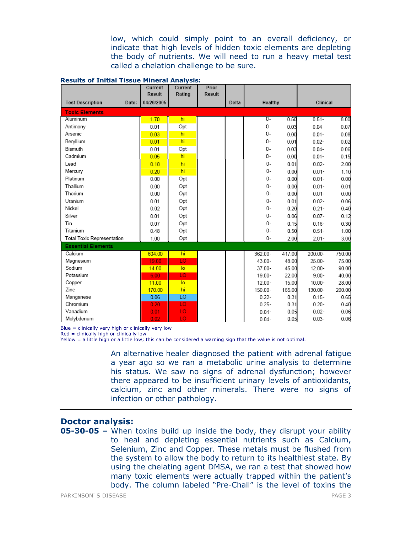low, which could simply point to an overall deficiency, or indicate that high levels of hidden toxic elements are depleting the body of nutrients. We will need to run a heavy metal test called a chelation challenge to be sure.

|                                   | Current<br>Result | Current<br>Rating | Prior<br>Result |       |           |              |                      |              |
|-----------------------------------|-------------------|-------------------|-----------------|-------|-----------|--------------|----------------------|--------------|
| <b>Test Description</b><br>Date:  | 04/26/2005        |                   |                 | Delta | Healthy   |              | Clinical             |              |
| <b>Toxic Elements</b>             |                   |                   |                 |       |           |              |                      |              |
| Aluminum                          | 1.70              | hi                |                 |       | $0-$      | 0.50         | $0.51 -$             | 8.00         |
| Antimony                          | 0.01              | Opt               |                 |       | 0-        | 0.03         | $0.04 -$             | 0.07         |
| Arsenic                           | 0.03              | hi                |                 |       | 0-        | 0.00         | $0.01 -$             | 0.08         |
| Beryllium                         | 0.01              | hi                |                 |       | 0-        | 0.01         | $0.02 -$             | 0.02         |
| Bismuth                           | 0.01              | Opt               |                 |       | 0-        | 0.03         | $0.04 -$             | 0.06         |
| Cadmium                           | 0.05              | hi                |                 |       | $0 -$     | 0.00         | $0.01 -$             | 0.15         |
| Lead                              | 0.18              | hi                |                 |       | $0 -$     | 0.01         | $0.02 -$             | 2.00         |
| Mercury                           |                   | hi                |                 |       | 0-        |              |                      |              |
| Platinum                          | 0.20<br>0.00      | Opt               |                 |       | 0-        | 0.00<br>0.00 | $0.01 -$<br>$0.01 -$ | 1.10<br>0.00 |
| Thallium                          |                   |                   |                 |       | 0-        |              |                      |              |
| Thorium                           | 0.00              | Opt               |                 |       | 0-        | 0.00         | $0.01 -$             | 0.01         |
|                                   | 0.00              | Opt               |                 |       |           | 0.00         | $0.01 -$             | 0.00         |
| Uranium                           | 0.01              | Opt               |                 |       | 0-        | 0.01         | $0.02 -$             | 0.06         |
| Nickel                            | 0.02              | Opt               |                 |       | $0 -$     | 0.20         | $0.21 -$             | 0.40         |
| Silver                            | 0.01              | Opt               |                 |       | 0-        | 0.06         | $0.07 -$             | 0.12         |
| Tin                               | 0.07              | Opt               |                 |       | 0-        | 0.15         | $0.16 -$             | 0.30         |
| Titanium                          | 0.48              | Opt               |                 |       | 0-        | 0.50         | $0.51 -$             | 1.00         |
| <b>Total Toxic Representation</b> | 1.00              | Opt               |                 |       | 0-        | 2.00         | $2.01 -$             | 3.00         |
| <b>Essential Elements</b>         |                   |                   |                 |       |           |              |                      |              |
| Calcium                           | 604.00            | hi                |                 |       | 362.00-   | 417.00       | 200.00-              | 750.00       |
| Magnesium                         | 19.00             | <b>LO</b>         |                 |       | 43.00-    | 48.00        | 25.00-               | 75.00        |
| Sodium                            | 14.00             | $\overline{10}$   |                 |       | $37.00 -$ | 45.00        | 12.00-               | 90.00        |
| Potassium                         | 6.00              | LO                |                 |       | $19.00 -$ | 22.00        | $9.00 -$             | 40.00        |
| Copper                            | 11.00             | $\overline{10}$   |                 |       | $12.00 -$ | 15.00        | $10.00 -$            | 28.00        |
| Zinc                              | 170.00            | hi                |                 |       | 150.00-   | 165.00       | 130.00-              | 200.00       |
| Manganese                         | 0.06              | LO                |                 |       | $0.22 -$  | 0.31         | $0.15 -$             | 0.65         |
| Chromium                          | 0.20              | <b>LO</b>         |                 |       | $0.25 -$  | 0.31         | $0.20 -$             | 0.40         |
| Vanadium                          | 0.01              | LO                |                 |       | $0.04 -$  | 0.05         | $0.02 -$             | 0.06         |
| Molvbdenum                        | 0.02              | LO                |                 |       | $0.04 -$  | 0.05         | $0.03 -$             | 0.06         |

#### Results of Initial Tissue Mineral Analysis:

Blue = clinically very high or clinically very low

Red = clinically high or clinically low

Yellow = a little high or a little low; this can be considered a warning sign that the value is not optimal.

An alternative healer diagnosed the patient with adrenal fatigue a year ago so we ran a metabolic urine analysis to determine his status. We saw no signs of adrenal dysfunction; however there appeared to be insufficient urinary levels of antioxidants, calcium, zinc and other minerals. There were no signs of infection or other pathology.

# Doctor analysis:

05-30-05 – When toxins build up inside the body, they disrupt your ability to heal and depleting essential nutrients such as Calcium, Selenium, Zinc and Copper. These metals must be flushed from the system to allow the body to return to its healthiest state. By using the chelating agent DMSA, we ran a test that showed how many toxic elements were actually trapped within the patient's body. The column labeled "Pre-Chall" is the level of toxins the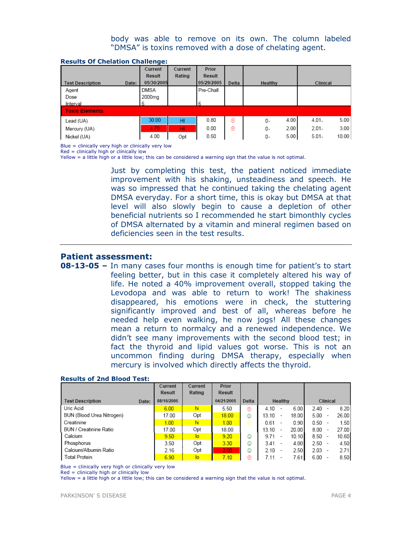#### body was able to remove on its own. The column labeled "DMSA" is toxins removed with a dose of chelating agent.

|                         | Current             | Current | Prior      |       |         |      |          |       |
|-------------------------|---------------------|---------|------------|-------|---------|------|----------|-------|
|                         | Result              | Rating  | Result     |       |         |      |          |       |
| <b>Test Description</b> | 05/30/2005<br>Date: |         | 05/29/2005 | Delta | Healthy |      | Clinical |       |
| Agent                   | DMSA                |         | Pre-Chall  |       |         |      |          |       |
| Dose                    | 2000mg              |         |            |       |         |      |          |       |
| Interval                | 6                   |         | 6          |       |         |      |          |       |
| <b>Toxic Elements</b>   |                     |         |            |       |         |      |          |       |
| Lead (UA)               | 30.00               | HI      | 0.80       | ⊛     | 0-      | 4.00 | $4.01 -$ | 5.00  |
| Mercury (UA)            | 4.70                | HI      | 0.00       | ⊛     | 0-      | 2.00 | $2.01 -$ | 3.00  |
| Nickel (UA)             | 4.00                | Opt     | 0.50       |       | 0-      | 5.00 | $5.01 -$ | 10.00 |

#### Results Of Chelation Challenge:

Blue = clinically very high or clinically very low

 $Red =$  clinically high or clinically low

Yellow = a little high or a little low; this can be considered a warning sign that the value is not optimal.

Just by completing this test, the patient noticed immediate improvement with his shaking, unsteadiness and speech. He was so impressed that he continued taking the chelating agent DMSA everyday. For a short time, this is okay but DMSA at that level will also slowly begin to cause a depletion of other beneficial nutrients so I recommended he start bimonthly cycles of DMSA alternated by a vitamin and mineral regimen based on deficiencies seen in the test results.

#### Patient assessment:

**08-13-05 –** In many cases four months is enough time for patient's to start feeling better, but in this case it completely altered his way of life. He noted a 40% improvement overall, stopped taking the Levodopa and was able to return to work! The shakiness disappeared, his emotions were in check, the stuttering significantly improved and best of all, whereas before he needed help even walking, he now jogs! All these changes mean a return to normalcy and a renewed independence. We didn't see many improvements with the second blood test; in fact the thyroid and lipid values got worse. This is not an uncommon finding during DMSA therapy, especially when mercury is involved which directly affects the thyroid.

|                           |       | Current    | Current | Prior         |       |       |         |          |                          |       |
|---------------------------|-------|------------|---------|---------------|-------|-------|---------|----------|--------------------------|-------|
|                           |       | Result     | Rating  | <b>Result</b> |       |       |         |          |                          |       |
| <b>Test Description</b>   | Date: | 08/16/2005 |         | 04/21/2005    | Delta |       | Healthy |          | Clinical                 |       |
| Uric Acid                 |       | 6.00       | hi      | 5.50          | ⊛     | 4.10  | 6.00    | 2.40     |                          | 8.20  |
| BUN (Blood Urea Nitrogen) |       | 17.00      | Opt     | 18.00         | ☺     | 13.10 | 18.00   | 5.00     | $\overline{\phantom{a}}$ | 26.00 |
| Creatinine                |       | 1.00       | hi      | 1.00          | ⊜     | 0.61  | 0.90    | $0.50 -$ |                          | 1.50  |
| BUN / Creatinine Ratio    |       | 17.00      | Opt     | 18.00         |       | 13.10 | 20.00   | 8.00     |                          | 27.00 |
| Calcium                   |       | 9.50       | lo      | 9.20          | ☺     | 9.71  | 10.10   | 8.50     | $\overline{\phantom{a}}$ | 10.60 |
| Phosphorus                |       | 3.50       | Opt     | 3.30          | ٨     | 3.41  | 4.00    | 2.50     |                          | 4.50  |
| Calcium/Albumin Ratio     |       | 2.16       | Opt     | 2.00          | ☺     | 2.10  | 2.50    | 2.03     |                          | 2.71  |
| <b>Total Protein</b>      |       | 6.90       | lо      | 7.10          | ⊛     | 7.11  | 7.61    | 6.00     |                          | 8.50  |

#### Results of 2nd Blood Test:

Blue = clinically very high or clinically very low

Red = clinically high or clinically low

Yellow = a little high or a little low; this can be considered a warning sign that the value is not optimal.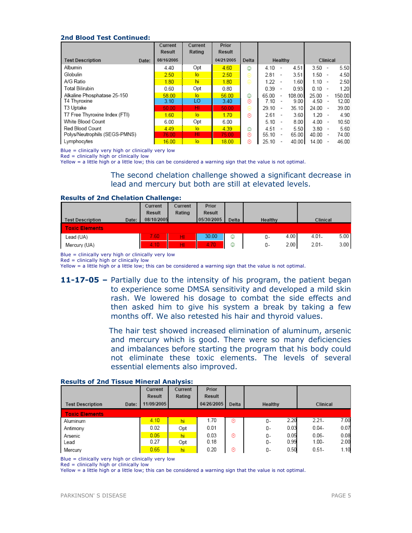#### 2nd Blood Test Continued:

|                                  | Current<br>Result | Current<br>Rating | Prior<br>Result |       |       |                          |        |       |                          |        |
|----------------------------------|-------------------|-------------------|-----------------|-------|-------|--------------------------|--------|-------|--------------------------|--------|
| <b>Test Description</b><br>Date: | 08/16/2005        |                   | 04/21/2005      | Delta |       | Healthy                  |        |       | Clinical                 |        |
| Albumin                          | 4.40              | Opt               | 4.60            | ☺     | 4.10  |                          | 4.51   | 3.50  |                          | 5.50   |
| Globulin                         | 2.50              | lo                | 2.50            | ⊜     | 2.81  |                          | 3.51   | 1.50  |                          | 4.50   |
| A/G Ratio                        | 1.80              | hi                | 1.80            | ⊜     | 1.22  |                          | 1.60   | 1.10  |                          | 2.50   |
| Total Bilirubin                  | 0.60              | Opt               | 0.80            |       | 0.39  |                          | 0.93   | 0.10  |                          | 1.20   |
| Alkaline Phosphatase 25-150      | 58.00             | lo                | 56.00           | ☺     | 65.00 | $\overline{\phantom{a}}$ | 108.00 | 25.00 |                          | 150.00 |
| T4 Thyroxine                     | 3.10              | LO                | 3.40            | ⊛     | 7.10  |                          | 9.00   | 4.50  |                          | 12.00  |
| T3 Uptake                        | 50.00             | нг                | 50.00           | ⊜     | 29.10 | $\overline{\phantom{a}}$ | 35.10  | 24.00 | $\overline{\phantom{a}}$ | 39.00  |
| T7 Free Thyroxine Index (FTI)    | 1.60              | lo                | 1.70            | ⊛     | 2.61  | $\overline{\phantom{a}}$ | 3.60   | 1.20  | $\overline{\phantom{a}}$ | 4.90   |
| White Blood Count                | 6.00              | Opt               | 6.00            |       | 5.10  |                          | 8.00   | 4.00  |                          | 10.50  |
| Red Blood Count                  | 4.49              | $\overline{a}$    | 4.39            | ٧     | 4.51  |                          | 5.50   | 3.80  |                          | 5.60   |
| Polys/Neutrophils (SEGS-PMNS)    | 76.00             | HI                | 75.00           | ⊛     | 55.10 | $\overline{\phantom{a}}$ | 65.00  | 40.00 |                          | 74.00  |
| Lymphocytes                      | 16.00             | lo                | 18.00           | ⊛     | 25.10 |                          | 40.00  | 14.00 |                          | 46.00  |

Blue = clinically very high or clinically very low

Red = clinically high or clinically low

Yellow = a little high or a little low; this can be considered a warning sign that the value is not optimal.

The second chelation challenge showed a significant decrease in lead and mercury but both are still at elevated levels.

#### Results of 2nd Chelation Challenge:

|                                  | Current       | Current | Prior      |       |            |                  |
|----------------------------------|---------------|---------|------------|-------|------------|------------------|
|                                  | <b>Result</b> | Rating  | Result     |       |            |                  |
| Date:<br><b>Test Description</b> | 08/10/2005    |         | 05/30/2005 | Delta | Healthy    | Clinical         |
| <b>Toxic Elements</b>            |               |         |            |       |            |                  |
| Lead (UA)                        | 7.60.         | HI.     | 30.00      | ☺     | 4.00<br>0- | 5.00<br>$4.01 -$ |
| Mercury (UA)                     | 4.10          | HI.     | 4.70       | ☺     | 2.00<br>0- | 3.00<br>$2.01 -$ |

Blue = clinically very high or clinically very low

 $Red =$  clinically high or clinically low

Yellow = a little high or a little low; this can be considered a warning sign that the value is not optimal.

11-17-05 – Partially due to the intensity of his program, the patient began to experience some DMSA sensitivity and developed a mild skin rash. We lowered his dosage to combat the side effects and then asked him to give his system a break by taking a few months off. We also retested his hair and thyroid values.

> The hair test showed increased elimination of aluminum, arsenic and mercury which is good. There were so many deficiencies and imbalances before starting the program that his body could not eliminate these toxic elements. The levels of several essential elements also improved.

|                                  | Current    | Current | Prior      |       |            |          |      |
|----------------------------------|------------|---------|------------|-------|------------|----------|------|
|                                  | Result     | Rating  | Result     |       |            |          |      |
| <b>Test Description</b><br>Date: | 11/09/2005 |         | 04/26/2005 | Delta | Healthy    | Clinical |      |
| <b>Toxic Elements</b>            |            |         |            |       |            |          |      |
| Aluminum                         | 4.10       | hi      | 1.70       | ⊛     | 2.20<br>0- | $2.21 -$ | 7.00 |
| Antimony                         | 0.02       | Opt     | 0.01       |       | 0.03<br>0- | $0.04 -$ | 0.07 |
| Arsenic                          | 0.05       | hi      | 0.03       | ⊛     | 0.05<br>0- | $0.06 -$ | 0.08 |
| Lead                             | 0.27       | Opt     | 0.18       |       | 0.99<br>0- | $1.00 -$ | 2.00 |
| Mercury                          | 0.65       | hi      | 0.20       | ⊛     | 0.50<br>0- | $0.51 -$ | 1.10 |

#### Results of 2nd Tissue Mineral Analysis:

Blue = clinically very high or clinically very low

Red = clinically high or clinically low

Yellow = a little high or a little low; this can be considered a warning sign that the value is not optimal.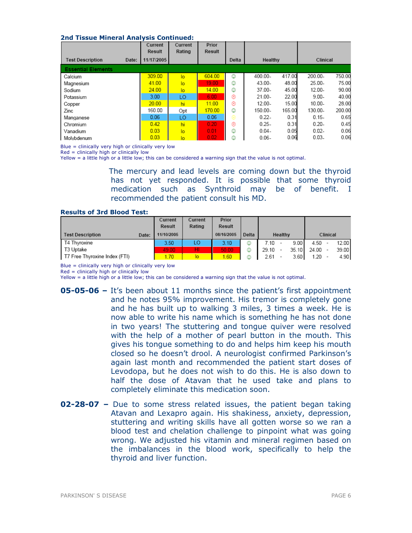#### 2nd Tissue Mineral Analysis Continued:

|                           |       | Current<br><b>Result</b> | Current<br>Rating | Prior<br>Result |       |           |        |           |        |  |
|---------------------------|-------|--------------------------|-------------------|-----------------|-------|-----------|--------|-----------|--------|--|
| <b>Test Description</b>   | Date: | 11/17/2005               |                   |                 | Delta | Healthy   |        | Clinical  |        |  |
| <b>Essential Elements</b> |       |                          |                   |                 |       |           |        |           |        |  |
| Calcium                   |       | 309.00                   | lo                | 604.00          | ☺     | 400.00-   | 417.00 | 200.00-   | 750.00 |  |
| Magnesium                 |       | 41.00                    | lo                | 19.00           | ☺     | $43.00 -$ | 48.00  | $25.00 -$ | 75.00  |  |
| Sodium                    |       | 24.00                    | lo                | 14.00           | ☺     | 37.00-    | 45.00  | 12.00-    | 90.00  |  |
| Potassium                 |       | 3.00                     | LO                | 6.00            | ⊛     | $21.00 -$ | 22.00  | $9.00 -$  | 40.00  |  |
| Copper                    |       | 20.00                    | hi                | 11.00           | ⊛     | $12.00 -$ | 15.00  | $10.00 -$ | 28.00  |  |
| Zinc                      |       | 160.00                   | Opt               | 170.00          | ☺     | 150.00-   | 165.00 | 130.00-   | 200.00 |  |
| Manganese                 |       | 0.06                     | LO                | 0.06            | ⊜     | $0.22 -$  | 0.31   | $0.15 -$  | 0.65   |  |
| Chromium                  |       | 0.42                     | hi                | 0.20            | ⊛     | $0.25 -$  | 0.31   | $0.20 -$  | 0.45   |  |
| Vanadium                  |       | 0.03                     | lo                | 0.01            | ٥     | $0.04 -$  | 0.05   | $0.02 -$  | 0.06   |  |
| Molvbdenum                |       | 0.03                     | lo                | 0.02            | ٨     | $0.06 -$  | 0.06   | $0.03 -$  | 0.06   |  |

Blue = clinically very high or clinically very low

Red = clinically high or clinically low

Yellow = a little high or a little low; this can be considered a warning sign that the value is not optimal.

The mercury and lead levels are coming down but the thyroid has not yet responded. It is possible that some thyroid medication such as Synthroid may be of benefit. I recommended the patient consult his MD.

#### Results of 3rd Blood Test:

|                                  | Current    | Current | Prior         |       |       |                          |       |       |          |       |
|----------------------------------|------------|---------|---------------|-------|-------|--------------------------|-------|-------|----------|-------|
|                                  | Result     | Rating  | <b>Result</b> |       |       |                          |       |       |          |       |
| <b>Test Description</b><br>Date: | 11/10/2005 |         | 08/16/2005    | Delta |       | Healthy                  |       |       | Clinical |       |
| T4 Thyroxine                     | 3.50       | LO      | 3.10          | ☺     | 7.10  |                          | 9.00  | 4.50  |          | 12.00 |
| T3 Uptake                        | 49.00      | ΗI      | 50.00         | ☺     | 29.10 | $\overline{\phantom{a}}$ | 35.10 | 24.00 |          | 39.00 |
| T7 Free Thyroxine Index (FTI)    | 1.70       | lo.     | 1.60          | ٥     | 2.61  |                          | 3.60  | 1.20  |          | 4.90  |

Blue = clinically very high or clinically very low

Red = clinically high or clinically low

Yellow = a little high or a little low; this can be considered a warning sign that the value is not optimal.

- **05-05-06 –** It's been about 11 months since the patient's first appointment and he notes 95% improvement. His tremor is completely gone and he has built up to walking 3 miles, 3 times a week. He is now able to write his name which is something he has not done in two years! The stuttering and tongue quiver were resolved with the help of a mother of pearl button in the mouth. This gives his tongue something to do and helps him keep his mouth closed so he doesn't drool. A neurologist confirmed Parkinson's again last month and recommended the patient start doses of Levodopa, but he does not wish to do this. He is also down to half the dose of Atavan that he used take and plans to completely eliminate this medication soon.
- **02-28-07 –** Due to some stress related issues, the patient began taking Atavan and Lexapro again. His shakiness, anxiety, depression, stuttering and writing skills have all gotten worse so we ran a blood test and chelation challenge to pinpoint what was going wrong. We adjusted his vitamin and mineral regimen based on the imbalances in the blood work, specifically to help the thyroid and liver function.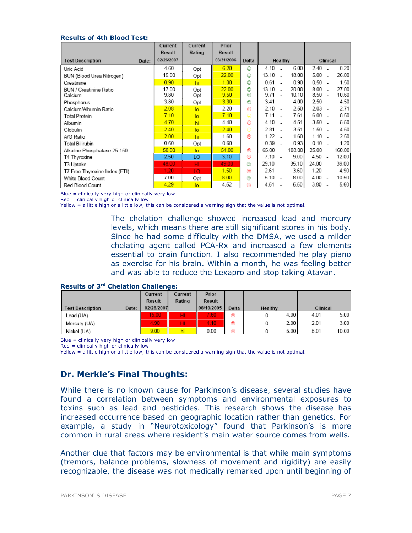#### Results of 4th Blood Test:

|                                   | Current       | Current        | Prior         |        |                   |         |                |              |                          |                |
|-----------------------------------|---------------|----------------|---------------|--------|-------------------|---------|----------------|--------------|--------------------------|----------------|
|                                   | Result        | Rating         | <b>Result</b> |        |                   |         |                |              |                          |                |
| <b>Test Description</b><br>Date:  | 02/26/2007    |                | 03/31/2006    | Delta  |                   | Healthy |                |              | Clinical                 |                |
| Uric Acid                         | 4.60          | Opt            | 6.20          | ٧      | 4.10              |         | 6.00           | 2.40         |                          | 8.20           |
| BUN (Blood Urea Nitrogen)         | 15.00         | Opt            | 22.00         | ٥      | 13.10             |         | 18.00          | 5.00         |                          | 26.00          |
| Creatinine                        | 0.90          | hi             | 1.00          | ☺      | 0.61              |         | 0.90           | 0.50         |                          | 1.50           |
| BUN / Creatinine Ratio<br>Calcium | 17.00<br>9.80 | Opt<br>Opt     | 22.00<br>9.50 | ٥<br>☺ | 13.10<br>$9.71 -$ |         | 20.00<br>10.10 | 8.00<br>8.50 |                          | 27.00<br>10.60 |
| Phosphorus                        | 3.80          | Opt            | 3.30          | ٧      | 3.41              |         | 4.00           | 2.50         |                          | 4.50           |
| Calcium/Albumin Ratio             | 2.08          | $\overline{a}$ | 2.20          | ⊛      | 2.10              |         | 2.50           | 2.03         |                          | 2.71           |
| Total Protein                     | 7.10          | $\overline{a}$ | 7.10          | ⊜      | 7.11              |         | 7.61           | 6.00         |                          | 8.50           |
| Albumin                           | 4.70          | hi             | 4.40          | ⊛      | 4.10              |         | 4.51           | 3.50         |                          | 5.50           |
| Globulin                          | 2.40          | $\overline{a}$ | 2.40          | ⊜      | 2.81              |         | 3.51           | 1.50         |                          | 4.50           |
| A/G Ratio                         | 2.00          | hi             | 1.60          | ⊛      | 1.22              |         | 1.60           | 1.10         |                          | 2.50           |
| Total Bilirubin                   | 0.60          | Opt            | 0.60          |        | 0.39              |         | 0.93           | 0.10         |                          | 1.20           |
| Alkaline Phosphatase 25-150       | 50.00         | $\overline{a}$ | 54.00         | ⊛      | 65.00             |         | 108.00         | 25.00        |                          | 160.00         |
| T4 Thyroxine                      | 2.50          | LO             | 3.10          | ⊛      | 7.10              |         | 9.00           | 4.50         | $\overline{\phantom{a}}$ | 12.00          |
| T3 Uptake                         | 48.00         | HI             | 49.00         | ☺      | 29.10             |         | 35.10          | 24.00        |                          | 39.00          |
| T7 Free Thyroxine Index (FTI)     | 1.20          | LO             | 1.50          | ⊛      | 2.61              |         | 3.60           | 1.20         |                          | 4.90           |
| White Blood Count                 | 7.00          | Opt            | 8.00          | ☺      | 5.10              |         | 8.00           | 4.00         |                          | 10.50          |
| Red Blood Count                   | 4.29          | lo             | 4.52          | ⊛      | 4.51              |         | 5.50           | 3.80         |                          | 5.60           |

Blue = clinically very high or clinically very low

 $Red = clinically high or clinically low$ 

Yellow = a little high or a little low; this can be considered a warning sign that the value is not optimal.

The chelation challenge showed increased lead and mercury levels, which means there are still significant stores in his body. Since he had some difficulty with the DMSA, we used a milder chelating agent called PCA-Rx and increased a few elements essential to brain function. I also recommended he play piano as exercise for his brain. Within a month, he was feeling better and was able to reduce the Lexapro and stop taking Atavan.

#### Results of 3rd Chelation Challenge:

|                                  | Current       | Current | Prior      |       |            |          |       |
|----------------------------------|---------------|---------|------------|-------|------------|----------|-------|
|                                  | <b>Result</b> | Rating  | Result     |       |            |          |       |
| Date:<br><b>Test Description</b> | 02/28/2007    |         | 08/10/2005 | Delta | Healthy    | Clinical |       |
| Lead (UA)                        | 15.00         | HI.     | 7.60       | ⊛     | 4.00<br>0- | 4.01-    | 5.00  |
| Mercury (UA)                     | 4.90          | HI.     | 4.10       | ⊛     | 2.00<br>0- | $2.01 -$ | 3.00  |
| Nickel (UA)                      | 9.00          | hi      | 0.00       | ⊛     | 5.00<br>0- | $5.01 -$ | 10.00 |

Blue = clinically very high or clinically very low

Red = clinically high or clinically low

Yellow = a little high or a little low; this can be considered a warning sign that the value is not optimal.

# Dr. Merkle's Final Thoughts:

While there is no known cause for Parkinson's disease, several studies have found a correlation between symptoms and environmental exposures to toxins such as lead and pesticides. This research shows the disease has increased occurrence based on geographic location rather than genetics. For example, a study in "Neurotoxicology" found that Parkinson's is more common in rural areas where resident's main water source comes from wells.

Another clue that factors may be environmental is that while main symptoms (tremors, balance problems, slowness of movement and rigidity) are easily recognizable, the disease was not medically remarked upon until beginning of